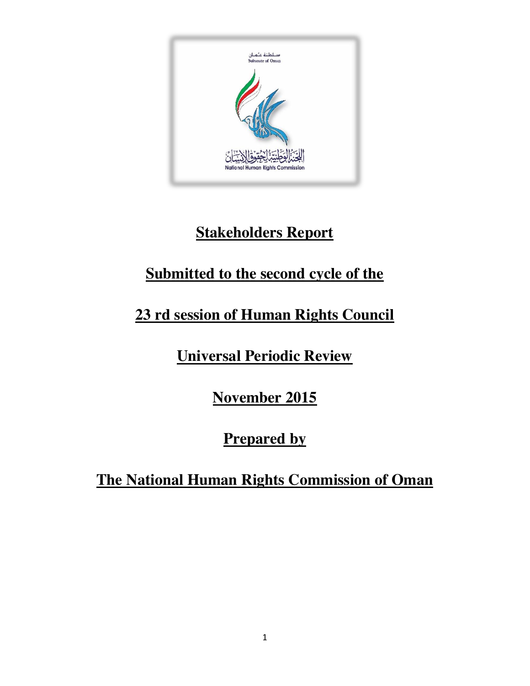

## **Stakeholders Report**

## **Submitted to the second cycle of the**

# **23 rd session of Human Rights Council**

## **Universal Periodic Review**

## **November 2015**

## **Prepared by**

#### **The National Human Rights Commission of Oman**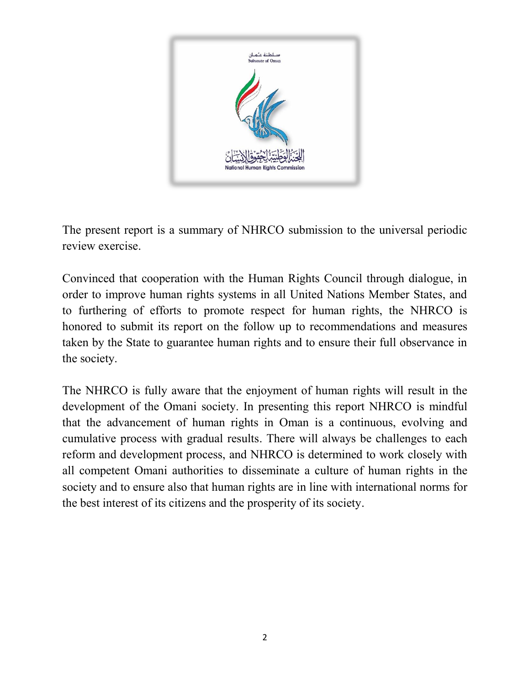

The present report is a summary of NHRCO submission to the universal periodic review exercise.

Convinced that cooperation with the Human Rights Council through dialogue, in order to improve human rights systems in all United Nations Member States, and to furthering of efforts to promote respect for human rights, the NHRCO is honored to submit its report on the follow up to recommendations and measures taken by the State to guarantee human rights and to ensure their full observance in the society.

The NHRCO is fully aware that the enjoyment of human rights will result in the development of the Omani society. In presenting this report NHRCO is mindful that the advancement of human rights in Oman is a continuous, evolving and cumulative process with gradual results. There will always be challenges to each reform and development process, and NHRCO is determined to work closely with all competent Omani authorities to disseminate a culture of human rights in the society and to ensure also that human rights are in line with international norms for the best interest of its citizens and the prosperity of its society.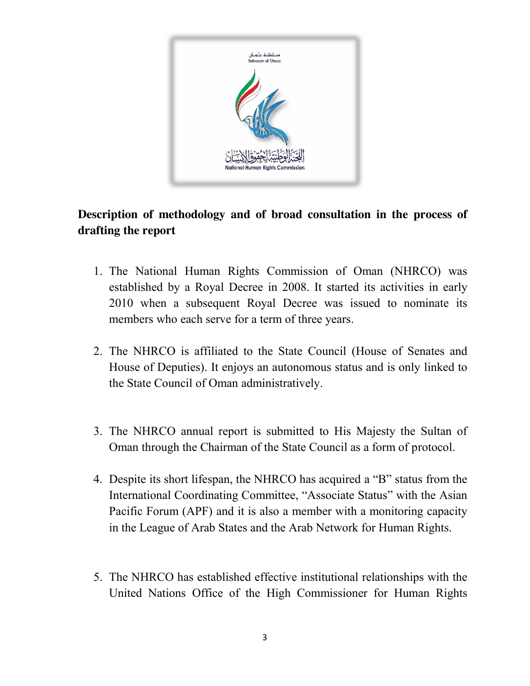

#### **Description of methodology and of broad consultation in the process of drafting the report**

- 1. The National Human Rights Commission of Oman (NHRCO) was established by a Royal Decree in 2008. It started its activities in early 2010 when a subsequent Royal Decree was issued to nominate its members who each serve for a term of three years.
- 2. The NHRCO is affiliated to the State Council (House of Senates and House of Deputies). It enjoys an autonomous status and is only linked to the State Council of Oman administratively.
- 3. The NHRCO annual report is submitted to His Majesty the Sultan of Oman through the Chairman of the State Council as a form of protocol.
- 4. Despite its short lifespan, the NHRCO has acquired a "B" status from the International Coordinating Committee, "Associate Status" with the Asian Pacific Forum (APF) and it is also a member with a monitoring capacity in the League of Arab States and the Arab Network for Human Rights.
- 5. The NHRCO has established effective institutional relationships with the United Nations Office of the High Commissioner for Human Rights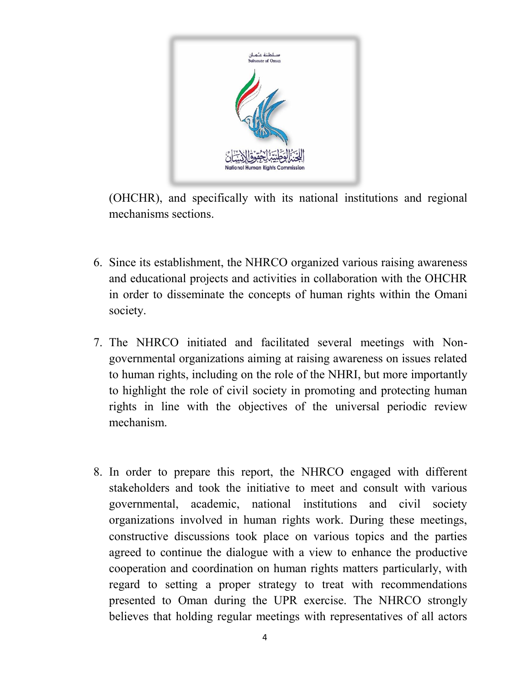

(OHCHR), and specifically with its national institutions and regional mechanisms sections.

- 6. Since its establishment, the NHRCO organized various raising awareness and educational projects and activities in collaboration with the OHCHR in order to disseminate the concepts of human rights within the Omani society.
- 7. The NHRCO initiated and facilitated several meetings with Nongovernmental organizations aiming at raising awareness on issues related to human rights, including on the role of the NHRI, but more importantly to highlight the role of civil society in promoting and protecting human rights in line with the objectives of the universal periodic review mechanism.
- 8. In order to prepare this report, the NHRCO engaged with different stakeholders and took the initiative to meet and consult with various governmental, academic, national institutions and civil society organizations involved in human rights work. During these meetings, constructive discussions took place on various topics and the parties agreed to continue the dialogue with a view to enhance the productive cooperation and coordination on human rights matters particularly, with regard to setting a proper strategy to treat with recommendations presented to Oman during the UPR exercise. The NHRCO strongly believes that holding regular meetings with representatives of all actors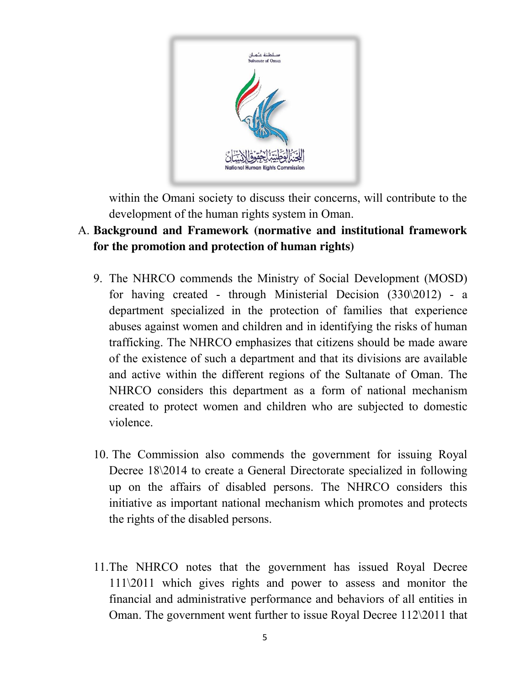

within the Omani society to discuss their concerns, will contribute to the development of the human rights system in Oman.

#### A. **Background and Framework (normative and institutional framework for the promotion and protection of human rights)**

- 9. The NHRCO commends the Ministry of Social Development (MOSD) for having created - through Ministerial Decision (330\2012) - a department specialized in the protection of families that experience abuses against women and children and in identifying the risks of human trafficking. The NHRCO emphasizes that citizens should be made aware of the existence of such a department and that its divisions are available and active within the different regions of the Sultanate of Oman. The NHRCO considers this department as a form of national mechanism created to protect women and children who are subjected to domestic violence.
- 10. The Commission also commends the government for issuing Royal Decree 18\2014 to create a General Directorate specialized in following up on the affairs of disabled persons. The NHRCO considers this initiative as important national mechanism which promotes and protects the rights of the disabled persons.
- 11.The NHRCO notes that the government has issued Royal Decree 111\2011 which gives rights and power to assess and monitor the financial and administrative performance and behaviors of all entities in Oman. The government went further to issue Royal Decree 112\2011 that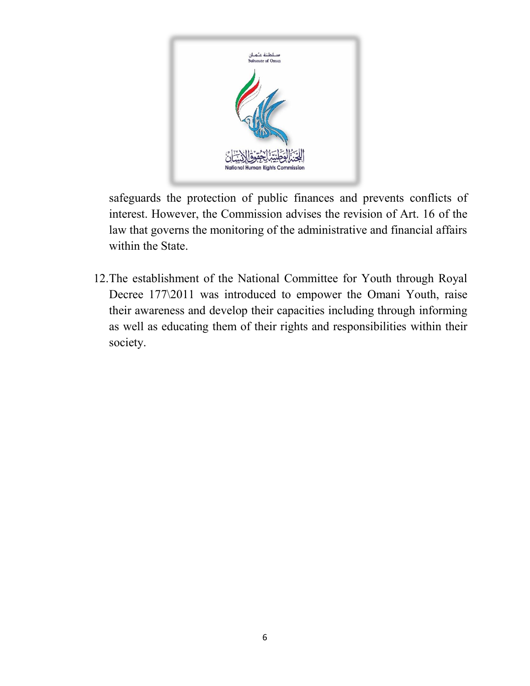

safeguards the protection of public finances and prevents conflicts of interest. However, the Commission advises the revision of Art. 16 of the law that governs the monitoring of the administrative and financial affairs within the State.

12.The establishment of the National Committee for Youth through Royal Decree 177\2011 was introduced to empower the Omani Youth, raise their awareness and develop their capacities including through informing as well as educating them of their rights and responsibilities within their society.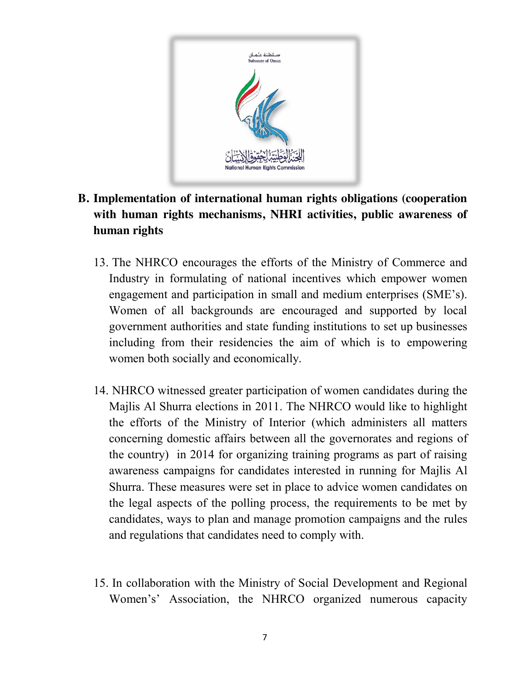

#### **B. Implementation of international human rights obligations (cooperation with human rights mechanisms, NHRI activities, public awareness of human rights**

- 13. The NHRCO encourages the efforts of the Ministry of Commerce and Industry in formulating of national incentives which empower women engagement and participation in small and medium enterprises (SME's). Women of all backgrounds are encouraged and supported by local government authorities and state funding institutions to set up businesses including from their residencies the aim of which is to empowering women both socially and economically.
- 14. NHRCO witnessed greater participation of women candidates during the Majlis Al Shurra elections in 2011. The NHRCO would like to highlight the efforts of the Ministry of Interior (which administers all matters concerning domestic affairs between all the governorates and regions of the country) in 2014 for organizing training programs as part of raising awareness campaigns for candidates interested in running for Majlis Al Shurra. These measures were set in place to advice women candidates on the legal aspects of the polling process, the requirements to be met by candidates, ways to plan and manage promotion campaigns and the rules and regulations that candidates need to comply with.
- 15. In collaboration with the Ministry of Social Development and Regional Women's' Association, the NHRCO organized numerous capacity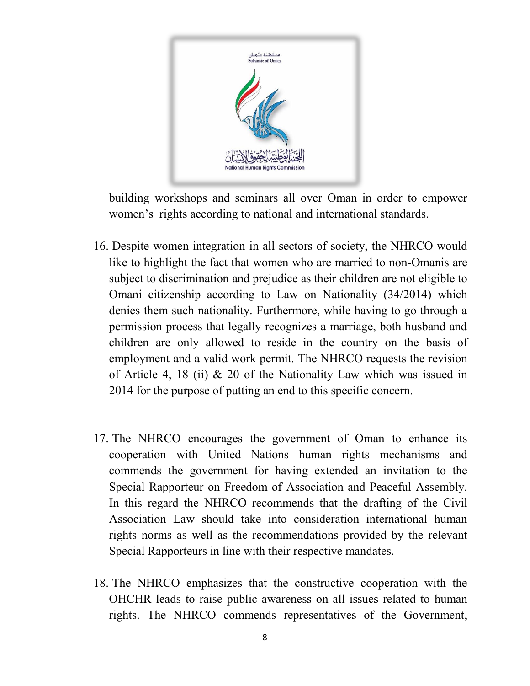

building workshops and seminars all over Oman in order to empower women's rights according to national and international standards.

- 16. Despite women integration in all sectors of society, the NHRCO would like to highlight the fact that women who are married to non-Omanis are subject to discrimination and prejudice as their children are not eligible to Omani citizenship according to Law on Nationality (34/2014) which denies them such nationality. Furthermore, while having to go through a permission process that legally recognizes a marriage, both husband and children are only allowed to reside in the country on the basis of employment and a valid work permit. The NHRCO requests the revision of Article 4, 18 (ii) & 20 of the Nationality Law which was issued in 2014 for the purpose of putting an end to this specific concern.
- 17. The NHRCO encourages the government of Oman to enhance its cooperation with United Nations human rights mechanisms and commends the government for having extended an invitation to the Special Rapporteur on Freedom of Association and Peaceful Assembly. In this regard the NHRCO recommends that the drafting of the Civil Association Law should take into consideration international human rights norms as well as the recommendations provided by the relevant Special Rapporteurs in line with their respective mandates.
- 18. The NHRCO emphasizes that the constructive cooperation with the OHCHR leads to raise public awareness on all issues related to human rights. The NHRCO commends representatives of the Government,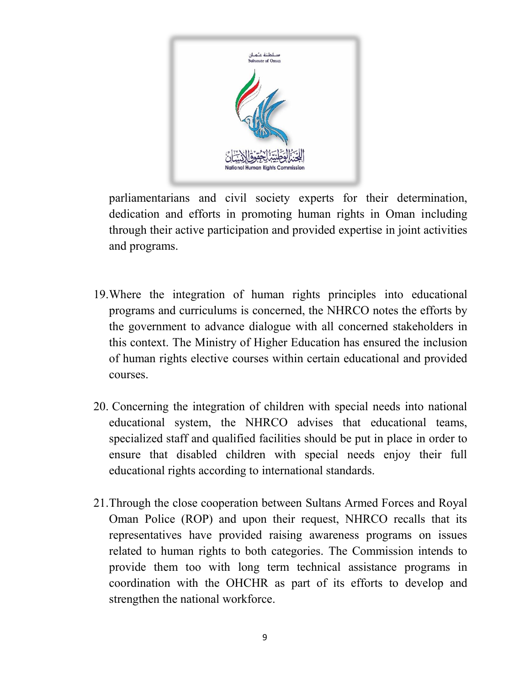

parliamentarians and civil society experts for their determination, dedication and efforts in promoting human rights in Oman including through their active participation and provided expertise in joint activities and programs.

- 19.Where the integration of human rights principles into educational programs and curriculums is concerned, the NHRCO notes the efforts by the government to advance dialogue with all concerned stakeholders in this context. The Ministry of Higher Education has ensured the inclusion of human rights elective courses within certain educational and provided courses.
- 20. Concerning the integration of children with special needs into national educational system, the NHRCO advises that educational teams, specialized staff and qualified facilities should be put in place in order to ensure that disabled children with special needs enjoy their full educational rights according to international standards.
- 21.Through the close cooperation between Sultans Armed Forces and Royal Oman Police (ROP) and upon their request, NHRCO recalls that its representatives have provided raising awareness programs on issues related to human rights to both categories. The Commission intends to provide them too with long term technical assistance programs in coordination with the OHCHR as part of its efforts to develop and strengthen the national workforce.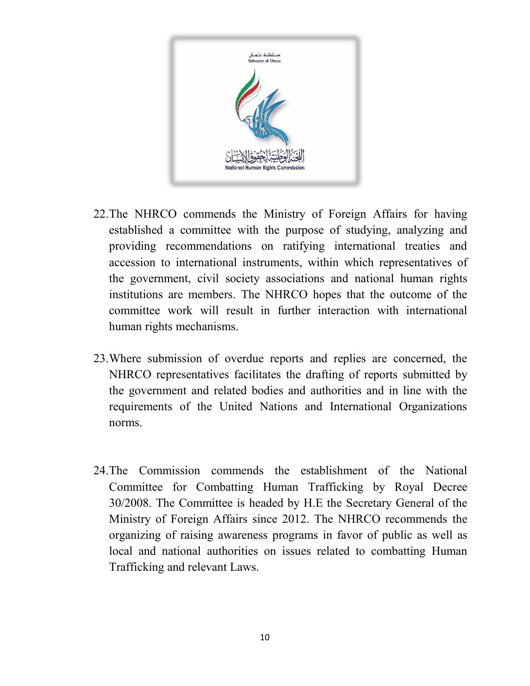

- 22.The NHRCO commends the Ministry of Foreign Affairs for having established a committee with the purpose of studying, analyzing and providing recommendations on ratifying international treaties and accession to international instruments, within which representatives of the government, civil society associations and national human rights institutions are members. The NHRCO hopes that the outcome of the committee work will result in further interaction with international human rights mechanisms.
- 23.Where submission of overdue reports and replies are concerned, the NHRCO representatives facilitates the drafting of reports submitted by the government and related bodies and authorities and in line with the requirements of the United Nations and International Organizations norms.
- 24.The Commission commends the establishment of the National Committee for Combatting Human Trafficking by Royal Decree 30/2008. The Committee is headed by H.E the Secretary General of the Ministry of Foreign Affairs since 2012. The NHRCO recommends the organizing of raising awareness programs in favor of public as well as local and national authorities on issues related to combatting Human Trafficking and relevant Laws.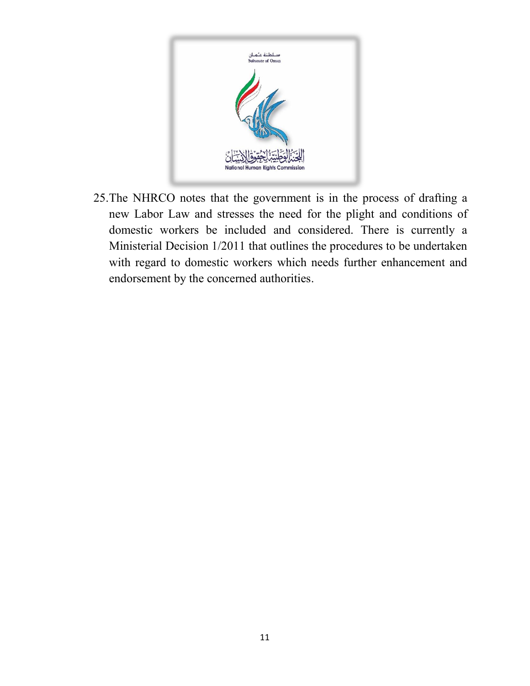

25.The NHRCO notes that the government is in the process of drafting a new Labor Law and stresses the need for the plight and conditions of domestic workers be included and considered. There is currently a Ministerial Decision 1/2011 that outlines the procedures to be undertaken with regard to domestic workers which needs further enhancement and endorsement by the concerned authorities.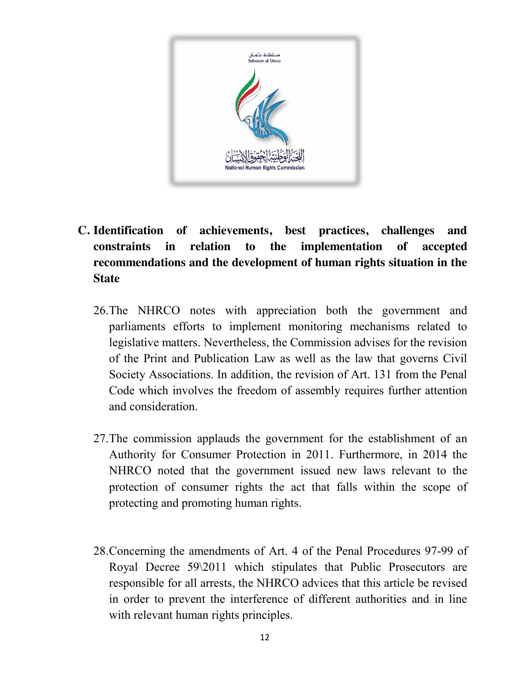

- **C. Identification of achievements, best practices, challenges and constraints in relation to the implementation of accepted recommendations and the development of human rights situation in the State**
	- 26.The NHRCO notes with appreciation both the government and parliaments efforts to implement monitoring mechanisms related to legislative matters. Nevertheless, the Commission advises for the revision of the Print and Publication Law as well as the law that governs Civil Society Associations. In addition, the revision of Art. 131 from the Penal Code which involves the freedom of assembly requires further attention and consideration.
	- 27.The commission applauds the government for the establishment of an Authority for Consumer Protection in 2011. Furthermore, in 2014 the NHRCO noted that the government issued new laws relevant to the protection of consumer rights the act that falls within the scope of protecting and promoting human rights.
	- 28.Concerning the amendments of Art. 4 of the Penal Procedures 97-99 of Royal Decree 59\2011 which stipulates that Public Prosecutors are responsible for all arrests, the NHRCO advices that this article be revised in order to prevent the interference of different authorities and in line with relevant human rights principles.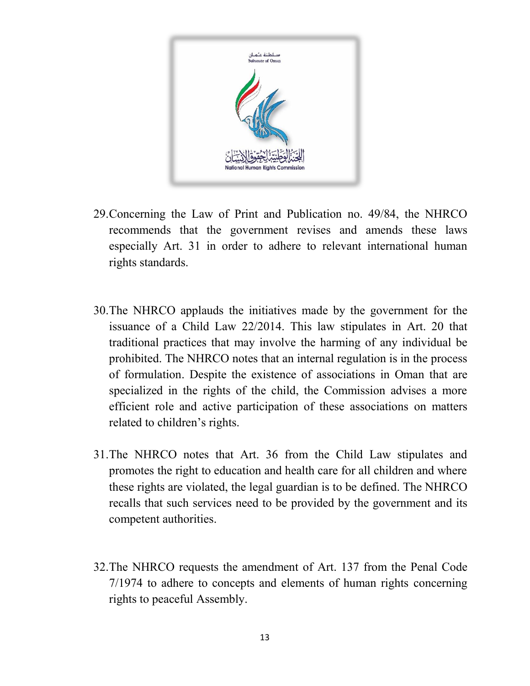

- 29.Concerning the Law of Print and Publication no. 49/84, the NHRCO recommends that the government revises and amends these laws especially Art. 31 in order to adhere to relevant international human rights standards.
- 30.The NHRCO applauds the initiatives made by the government for the issuance of a Child Law 22/2014. This law stipulates in Art. 20 that traditional practices that may involve the harming of any individual be prohibited. The NHRCO notes that an internal regulation is in the process of formulation. Despite the existence of associations in Oman that are specialized in the rights of the child, the Commission advises a more efficient role and active participation of these associations on matters related to children's rights.
- 31.The NHRCO notes that Art. 36 from the Child Law stipulates and promotes the right to education and health care for all children and where these rights are violated, the legal guardian is to be defined. The NHRCO recalls that such services need to be provided by the government and its competent authorities.
- 32.The NHRCO requests the amendment of Art. 137 from the Penal Code 7/1974 to adhere to concepts and elements of human rights concerning rights to peaceful Assembly.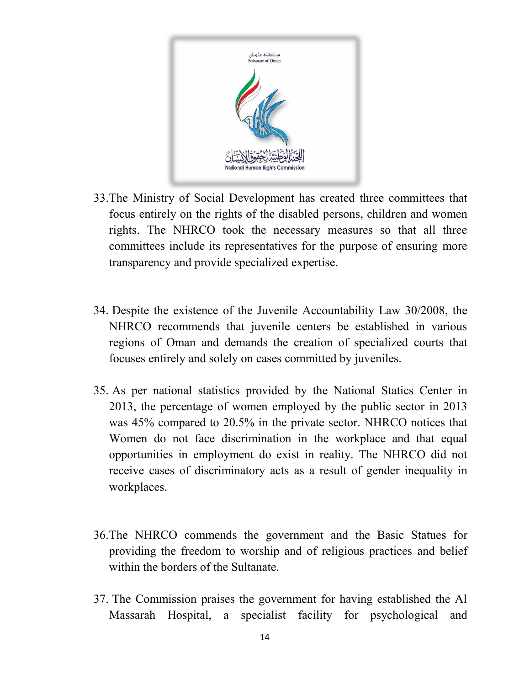

- 33.The Ministry of Social Development has created three committees that focus entirely on the rights of the disabled persons, children and women rights. The NHRCO took the necessary measures so that all three committees include its representatives for the purpose of ensuring more transparency and provide specialized expertise.
- 34. Despite the existence of the Juvenile Accountability Law 30/2008, the NHRCO recommends that juvenile centers be established in various regions of Oman and demands the creation of specialized courts that focuses entirely and solely on cases committed by juveniles.
- 35. As per national statistics provided by the National Statics Center in 2013, the percentage of women employed by the public sector in 2013 was 45% compared to 20.5% in the private sector. NHRCO notices that Women do not face discrimination in the workplace and that equal opportunities in employment do exist in reality. The NHRCO did not receive cases of discriminatory acts as a result of gender inequality in workplaces.
- 36.The NHRCO commends the government and the Basic Statues for providing the freedom to worship and of religious practices and belief within the borders of the Sultanate.
- 37. The Commission praises the government for having established the Al Massarah Hospital, a specialist facility for psychological and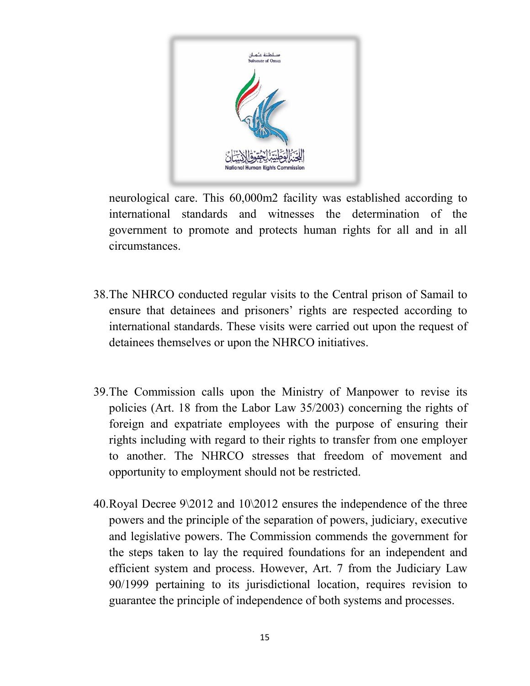

neurological care. This 60,000m2 facility was established according to international standards and witnesses the determination of the government to promote and protects human rights for all and in all circumstances.

- 38.The NHRCO conducted regular visits to the Central prison of Samail to ensure that detainees and prisoners' rights are respected according to international standards. These visits were carried out upon the request of detainees themselves or upon the NHRCO initiatives.
- 39.The Commission calls upon the Ministry of Manpower to revise its policies (Art. 18 from the Labor Law 35/2003) concerning the rights of foreign and expatriate employees with the purpose of ensuring their rights including with regard to their rights to transfer from one employer to another. The NHRCO stresses that freedom of movement and opportunity to employment should not be restricted.
- 40.Royal Decree 9\2012 and 10\2012 ensures the independence of the three powers and the principle of the separation of powers, judiciary, executive and legislative powers. The Commission commends the government for the steps taken to lay the required foundations for an independent and efficient system and process. However, Art. 7 from the Judiciary Law 90/1999 pertaining to its jurisdictional location, requires revision to guarantee the principle of independence of both systems and processes.